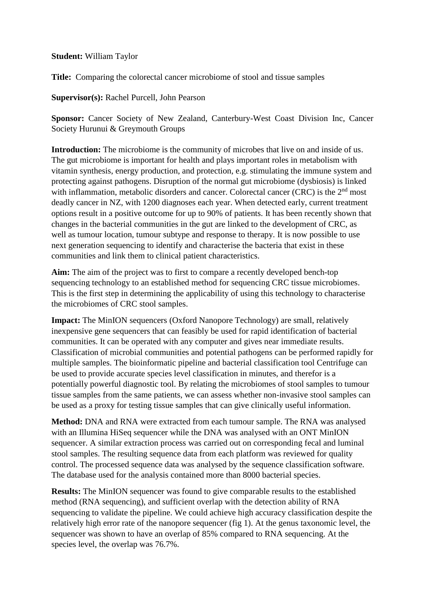## **Student:** William Taylor

**Title:** Comparing the colorectal cancer microbiome of stool and tissue samples

**Supervisor(s):** Rachel Purcell, John Pearson

**Sponsor:** Cancer Society of New Zealand, Canterbury-West Coast Division Inc, Cancer Society Hurunui & Greymouth Groups

**Introduction:** The microbiome is the community of microbes that live on and inside of us. The gut microbiome is important for health and plays important roles in metabolism with vitamin synthesis, energy production, and protection, e.g. stimulating the immune system and protecting against pathogens. Disruption of the normal gut microbiome (dysbiosis) is linked with inflammation, metabolic disorders and cancer. Colorectal cancer (CRC) is the 2<sup>nd</sup> most deadly cancer in NZ, with 1200 diagnoses each year. When detected early, current treatment options result in a positive outcome for up to 90% of patients. It has been recently shown that changes in the bacterial communities in the gut are linked to the development of CRC, as well as tumour location, tumour subtype and response to therapy. It is now possible to use next generation sequencing to identify and characterise the bacteria that exist in these communities and link them to clinical patient characteristics.

**Aim:** The aim of the project was to first to compare a recently developed bench-top sequencing technology to an established method for sequencing CRC tissue microbiomes. This is the first step in determining the applicability of using this technology to characterise the microbiomes of CRC stool samples.

**Impact:** The MinION sequencers (Oxford Nanopore Technology) are small, relatively inexpensive gene sequencers that can feasibly be used for rapid identification of bacterial communities. It can be operated with any computer and gives near immediate results. Classification of microbial communities and potential pathogens can be performed rapidly for multiple samples. The bioinformatic pipeline and bacterial classification tool Centrifuge can be used to provide accurate species level classification in minutes, and therefor is a potentially powerful diagnostic tool. By relating the microbiomes of stool samples to tumour tissue samples from the same patients, we can assess whether non-invasive stool samples can be used as a proxy for testing tissue samples that can give clinically useful information.

**Method:** DNA and RNA were extracted from each tumour sample. The RNA was analysed with an Illumina HiSeq sequencer while the DNA was analysed with an ONT MinION sequencer. A similar extraction process was carried out on corresponding fecal and luminal stool samples. The resulting sequence data from each platform was reviewed for quality control. The processed sequence data was analysed by the sequence classification software. The database used for the analysis contained more than 8000 bacterial species.

**Results:** The MinION sequencer was found to give comparable results to the established method (RNA sequencing), and sufficient overlap with the detection ability of RNA sequencing to validate the pipeline. We could achieve high accuracy classification despite the relatively high error rate of the nanopore sequencer (fig 1). At the genus taxonomic level, the sequencer was shown to have an overlap of 85% compared to RNA sequencing. At the species level, the overlap was 76.7%.